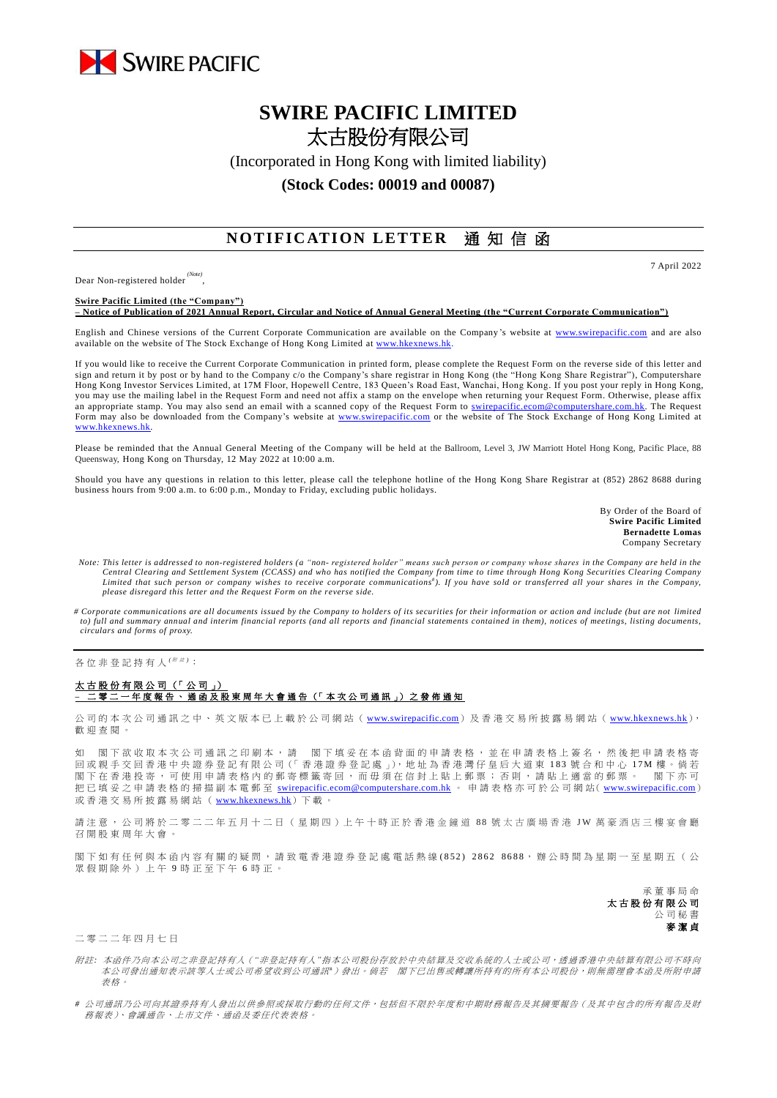

# **SWIRE PACIFIC LIMITED** 太古股份有限公司

(Incorporated in Hong Kong with limited liability)

### **(Stock Codes: 00019 and 00087)**

## **NOTIFICATION LETTER** 通知信函

Dear Non-registered holder *(Note)* , 7 April 2022

**Swire Pacific Limited (the "Company") – Notice of Publication of 2021 Annual Report, Circular and Notice of Annual General Meeting (the "Current Corporate Communication")**

English and Chinese versions of the Current Corporate Communication are available on the Company's website at [www.swirepacific.com](http://www.swirepacific.com/) and are also available on the website of The Stock Exchange of Hong Kong Limited at www.hkexnew

If you would like to receive the Current Corporate Communication in printed form, please complete the Request Form on the reverse side of this letter and sign and return it by post or by hand to the Company c/o the Company's share registrar in Hong Kong (the "Hong Kong Share Registrar"), Computershare Hong Kong Investor Services Limited, at 17M Floor, Hopewell Centre, 183 Queen's Road East, Wanchai, Hong Kong. If you post your reply in Hong Kong, you may use the mailing label in the Request Form and need not affix a stamp on the envelope when returning your Request Form. Otherwise, please affix an appropriate stamp. You may also send an email with a scanned copy of the Request Form to [swirepacific.ecom@computershare.com.hk.](mailto:swirepacific.ecom@computershare.com.hk) The Request Form may also be downloaded from the Company's website at [www.swirepacific.com](http://www.swirepacific.com/) or the website of The Stock Exchange of Hong Kong Limited at [www.hkexnews.hk.](http://www.hkexnews.hk/)

Please be reminded that the Annual General Meeting of the Company will be held at the Ballroom, Level 3, JW Marriott Hotel Hong Kong, Pacific Place, 88 Queensway, Hong Kong on Thursday, 12 May 2022 at 10:00 a.m.

Should you have any questions in relation to this letter, please call the telephone hotline of the Hong Kong Share Registrar at (852) 2862 8688 during business hours from 9:00 a.m. to 6:00 p.m., Monday to Friday, excluding public holidays.

> By Order of the Board of **Swire Pacific Limited Bernadette Lomas** Company Secretary

- *Note: This letter is addressed to non-registered holders (a "non- registered holder" means such person or company whose shares in the Company are held in the*  Central Clearing and Settlement System (CCASS) and who has notified the Company from time to time through Hong Kong Securities Clearing Company<br>Limited that such person or company wishes to receive corporate communications *please disregard this letter and the Request Form on the reverse side.*
- *# Corporate communications are all documents issued by the Company to holders of its securities for their information or action and include (but are not limited to) full and summary annual and interim financial reports (and all reports and financial statements contained in them), notices of meetings, listing documents, circulars and forms of proxy.*

各位非登記持有人<sup>( ##)</sup>:

### 太古股份有限公司 (「公司」) **–** 二 零 二 一 年度報告 、通函 及 股 東 周 年 大 會 通 告 (「 本 次 公 司 通 訊 」) 之 發 佈 通 知

公司的本次公司通訊之中、英文版本已上載於公司網站 ([www.swirepacific.com](http://www.swirepacific.com/)) 及香港交易所披露易網站 ([www.hkexnews.hk](http://www.hkexnews.hk/)), 歡 迎 查閱。

如 閣下欲收取本次公司通訊之印刷本,請 閣下填妥在本函背面的申請表格,並在申請表格上簽名,然後把申請表格寄 回 或親手交回 香 港 中 央 證 券 登 記 有 限 公 司(「 香 港 證 券 登 記 處 」), 地 址 為 香 港 灣 仔 皇 后 大 道 東 1 8 3 號合和中心 1 7 M 樓 。 倘 若 閣下在香港投寄,可使用申請表格內的郵寄標籤寄回,而毋須在信封上貼上郵票;否則,請貼上適當的郵票。 閣下亦可 把已填妥之申請表格的掃描副本電郵至 [swirepacific.ecom@computershare.com.hk](mailto:swirepacific.ecom@computershare.com.hk) 。 申請表格亦可於公司網站( [www.swirepacific.com](http://www.swirepacific.com/)) 或香港交易所披露易網站 ( [www.hkexnews.hk](http://www.hkexnews.hk/)) 下載

請注意, 公司將於二零二二年五月十二日 (星期四)上午十時正於香港金鐘道 88 號太古廣場香港 JW 萬豪酒店三樓宴會廳 召 開 股 東 周 年大會 。

閣下如有任何與本函內容有關的疑問,請致電香港證券登記處電話熱線 (852) 2862 8688,辦公時間為星期一至星期五(公 眾假期除外)上午 9 時正至下午 6 時正。

> 承董事 局 命 太古股份有限公司 公司秘書 麥潔貞

### 二 零 二 二 年 四 月 七 日

- 附註*:* 本函件乃向本公司之非登記持有人(*"*非登記持有人*"*指本公司股份存放於中央結算及交收系統的人士或公司,透過香港中央結算有限公司不時向 本公司發出通知表示該等人士或公司希望收到公司通訊#)發出。倘若 閣下已出售或轉讓所持有的所有本公司股份,則無需理會本函及所附申請 表格。
- *#* 公司通訊乃公司向其證券持有人發出以供參照或採取行動的任何文件,包括但不限於年度和中期財務報告及其摘要報告(及其中包含的所有報告及財 務報表)、會議通告、上市文件、通函及委任代表表格。